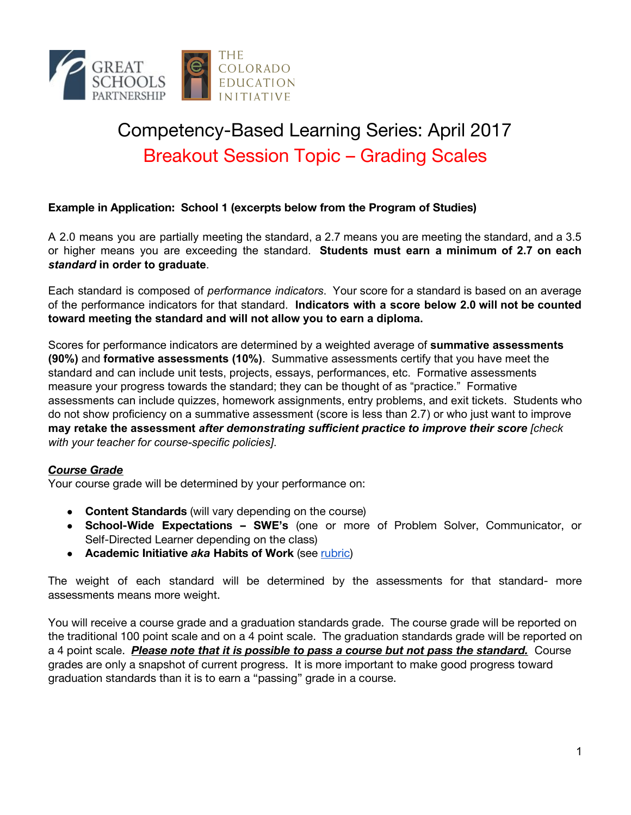

# Competency-Based Learning Series: April 2017 Breakout Session Topic – Grading Scales

### **Example in Application: School 1 (excerpts below from the Program of Studies)**

A 2.0 means you are partially meeting the standard, a 2.7 means you are meeting the standard, and a 3.5 or higher means you are exceeding the standard. **Students must earn a minimum of 2.7 on each** *standard* **in order to graduate**.

Each standard is composed of *performance indicators*. Your score for a standard is based on an average of the performance indicators for that standard. **Indicators with a score below 2.0 will not be counted toward meeting the standard and will not allow you to earn a diploma.**

Scores for performance indicators are determined by a weighted average of **summative assessments (90%)** and **formative assessments (10%)**. Summative assessments certify that you have meet the standard and can include unit tests, projects, essays, performances, etc. Formative assessments measure your progress towards the standard; they can be thought of as "practice." Formative assessments can include quizzes, homework assignments, entry problems, and exit tickets. Students who do not show proficiency on a summative assessment (score is less than 2.7) or who just want to improve **may retake the assessment** *after demonstrating sufficient practice to improve their score [check with your teacher for course-specific policies]*.

#### *Course Grade*

Your course grade will be determined by your performance on:

- **Content Standards** (will vary depending on the course)
- **School-Wide Expectations – SWE's** (one or more of Problem Solver, Communicator, or Self-Directed Learner depending on the class)
- **● Academic Initiative** *aka* **Habits of Work** (see [rubric\)](https://docs.google.com/document/d/1lSGtusocQGPXfnR7kDBvNPXsDglRFZCvey7uYmy-_Bg/edit?usp=sharing)

The weight of each standard will be determined by the assessments for that standard- more assessments means more weight.

You will receive a course grade and a graduation standards grade. The course grade will be reported on the [traditional](https://drive.google.com/file/d/0B7Utyr5Qbt_KUERhMzA5VDNGazg/view?usp=sharing) 100 point scale and on a 4 point scale. The graduation standards grade will be reported on a 4 point scale. *Please note that it is possible to pass a course but not pass the standard.* Course grades are only a snapshot of current progress. It is more important to make good progress toward graduation standards than it is to earn a "passing" grade in a course.